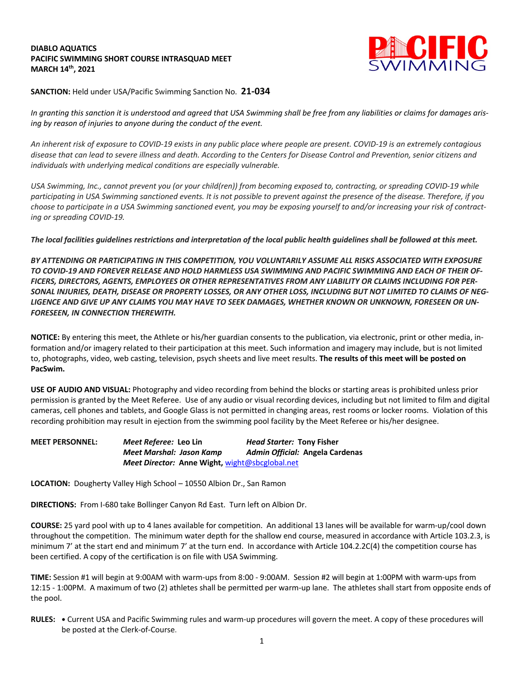## **DIABLO AQUATICS PACIFIC SWIMMING SHORT COURSE INTRASQUAD MEET MARCH 14th, 2021**



**SANCTION:** Held under USA/Pacific Swimming Sanction No. **21-034**

In granting this sanction it is understood and agreed that USA Swimming shall be free from any liabilities or claims for damages aris*ing by reason of injuries to anyone during the conduct of the event.* 

An inherent risk of exposure to COVID-19 exists in any public place where people are present. COVID-19 is an extremely contagious disease that can lead to severe illness and death. According to the Centers for Disease Control and Prevention, senior citizens and *individuals with underlying medical conditions are especially vulnerable.*

USA Swimming, Inc., cannot prevent you (or your child(ren)) from becoming exposed to, contracting, or spreading COVID-19 while participating in USA Swimming sanctioned events. It is not possible to prevent against the presence of the disease. Therefore, if you choose to participate in a USA Swimming sanctioned event, you may be exposing yourself to and/or increasing your risk of contract*ing or spreading COVID-19.*

The local facilities guidelines restrictions and interpretation of the local public health guidelines shall be followed at this meet.

*BY ATTENDING OR PARTICIPATING IN THIS COMPETITION, YOU VOLUNTARILY ASSUME ALL RISKS ASSOCIATED WITH EXPOSURE* TO COVID-19 AND FOREVER RELEASE AND HOLD HARMLESS USA SWIMMING AND PACIFIC SWIMMING AND EACH OF THEIR OF-*FICERS, DIRECTORS, AGENTS, EMPLOYEES OR OTHER REPRESENTATIVES FROM ANY LIABILITY OR CLAIMS INCLUDING FOR PER-*SONAL INJURIES, DEATH, DISEASE OR PROPERTY LOSSES, OR ANY OTHER LOSS, INCLUDING BUT NOT LIMITED TO CLAIMS OF NEG-LIGENCE AND GIVE UP ANY CLAIMS YOU MAY HAVE TO SEEK DAMAGES. WHETHER KNOWN OR UNKNOWN, FORESEEN OR UN-*FORESEEN, IN CONNECTION THEREWITH.*

**NOTICE:** By entering this meet, the Athlete or his/her guardian consents to the publication, via electronic, print or other media, information and/or imagery related to their participation at this meet. Such information and imagery may include, but is not limited to, photographs, video, web casting, television, psych sheets and live meet results. **The results of this meet will be posted on PacSwim.**

**USE OF AUDIO AND VISUAL:** Photography and video recording from behind the blocks or starting areas is prohibited unless prior permission is granted by the Meet Referee. Use of any audio or visual recording devices, including but not limited to film and digital cameras, cell phones and tablets, and Google Glass is not permitted in changing areas, rest rooms or locker rooms. Violation of this recording prohibition may result in ejection from the swimming pool facility by the Meet Referee or his/her designee.

**MEET PERSONNEL:** *Meet Referee:* **Leo Lin** *Head Starter:* **Tony Fisher** *Meet Marshal: Jason Kamp Admin Official:* **Angela Cardenas** *Meet Director:* **Anne Wight,** wight@sbcglobal.net

**LOCATION:** Dougherty Valley High School – 10550 Albion Dr., San Ramon

**DIRECTIONS:** From I-680 take Bollinger Canyon Rd East. Turn left on Albion Dr.

**COURSE:** 25 yard pool with up to 4 lanes available for competition. An additional 13 lanes will be available for warm-up/cool down throughout the competition. The minimum water depth for the shallow end course, measured in accordance with Article 103.2.3, is minimum 7' at the start end and minimum 7' at the turn end. In accordance with Article 104.2.2C(4) the competition course has been certified. A copy of the certification is on file with USA Swimming.

**TIME:** Session #1 will begin at 9:00AM with warm-ups from 8:00 - 9:00AM. Session #2 will begin at 1:00PM with warm-ups from 12:15 - 1:00PM. A maximum of two (2) athletes shall be permitted per warm-up lane. The athletes shall start from opposite ends of the pool.

**RULES: •** Current USA and Pacific Swimming rules and warm-up procedures will govern the meet. A copy of these procedures will be posted at the Clerk-of-Course.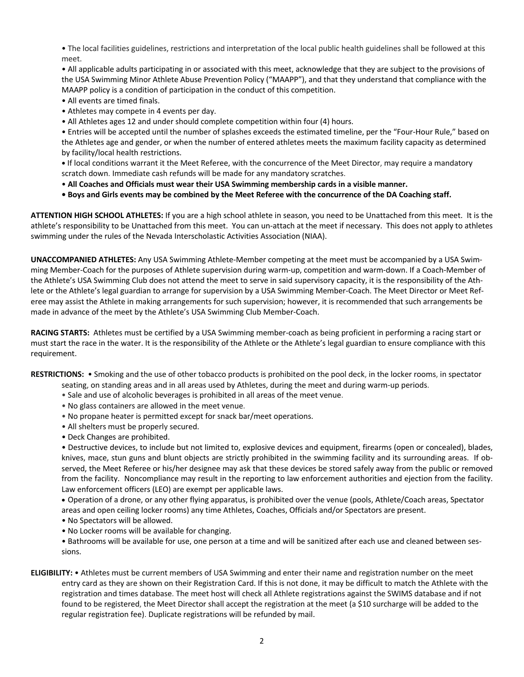• The local facilities guidelines, restrictions and interpretation of the local public health guidelines shall be followed at this meet.

• All applicable adults participating in or associated with this meet, acknowledge that they are subject to the provisions of the USA Swimming Minor Athlete Abuse Prevention Policy ("MAAPP"), and that they understand that compliance with the MAAPP policy is a condition of participation in the conduct of this competition.

- All events are timed finals.
- Athletes may compete in 4 events per day.
- All Athletes ages 12 and under should complete competition within four (4) hours.

• Entries will be accepted until the number of splashes exceeds the estimated timeline, per the "Four-Hour Rule," based on the Athletes age and gender, or when the number of entered athletes meets the maximum facility capacity as determined by facility/local health restrictions.

**•** If local conditions warrant it the Meet Referee, with the concurrence of the Meet Director, may require a mandatory scratch down. Immediate cash refunds will be made for any mandatory scratches.

- **All Coaches and Officials must wear their USA Swimming membership cards in a visible manner.**
- . Boys and Girls events may be combined by the Meet Referee with the concurrence of the DA Coaching staff.

**ATTENTION HIGH SCHOOL ATHLETES:** If you are a high school athlete in season, you need to be Unattached from this meet. It is the athlete's responsibility to be Unattached from this meet. You can un-attach at the meet if necessary. This does not apply to athletes swimming under the rules of the Nevada Interscholastic Activities Association (NIAA).

**UNACCOMPANIED ATHLETES:** Any USA Swimming Athlete-Member competing at the meet must be accompanied by a USA Swimming Member-Coach for the purposes of Athlete supervision during warm-up, competition and warm-down. If a Coach-Member of the Athlete's USA Swimming Club does not attend the meet to serve in said supervisory capacity, it is the responsibility of the Athlete or the Athlete's legal guardian to arrange for supervision by a USA Swimming Member-Coach. The Meet Director or Meet Referee may assist the Athlete in making arrangements for such supervision; however, it is recommended that such arrangements be made in advance of the meet by the Athlete's USA Swimming Club Member-Coach.

**RACING STARTS:** Athletes must be certified by a USA Swimming member-coach as being proficient in performing a racing start or must start the race in the water. It is the responsibility of the Athlete or the Athlete's legal guardian to ensure compliance with this requirement.

**RESTRICTIONS:** • Smoking and the use of other tobacco products is prohibited on the pool deck, in the locker rooms, in spectator

- seating, on standing areas and in all areas used by Athletes, during the meet and during warm-up periods.
- Sale and use of alcoholic beverages is prohibited in all areas of the meet venue.
- No glass containers are allowed in the meet venue.
- No propane heater is permitted except for snack bar/meet operations.
- All shelters must be properly secured.
- Deck Changes are prohibited.

• Destructive devices, to include but not limited to, explosive devices and equipment, firearms (open or concealed), blades, knives, mace, stun guns and blunt objects are strictly prohibited in the swimming facility and its surrounding areas. If observed, the Meet Referee or his/her designee may ask that these devices be stored safely away from the public or removed from the facility. Noncompliance may result in the reporting to law enforcement authorities and ejection from the facility. Law enforcement officers (LEO) are exempt per applicable laws.

• Operation of a drone, or any other flying apparatus, is prohibited over the venue (pools, Athlete/Coach areas, Spectator areas and open ceiling locker rooms) any time Athletes, Coaches, Officials and/or Spectators are present.

- No Spectators will be allowed.
- No Locker rooms will be available for changing.

• Bathrooms will be available for use, one person at a time and will be sanitized after each use and cleaned between sessions.

**ELIGIBILITY:** • Athletes must be current members of USA Swimming and enter their name and registration number on the meet entry card as they are shown on their Registration Card. If this is not done, it may be difficult to match the Athlete with the registration and times database. The meet host will check all Athlete registrations against the SWIMS database and if not found to be registered, the Meet Director shall accept the registration at the meet (a \$10 surcharge will be added to the regular registration fee). Duplicate registrations will be refunded by mail.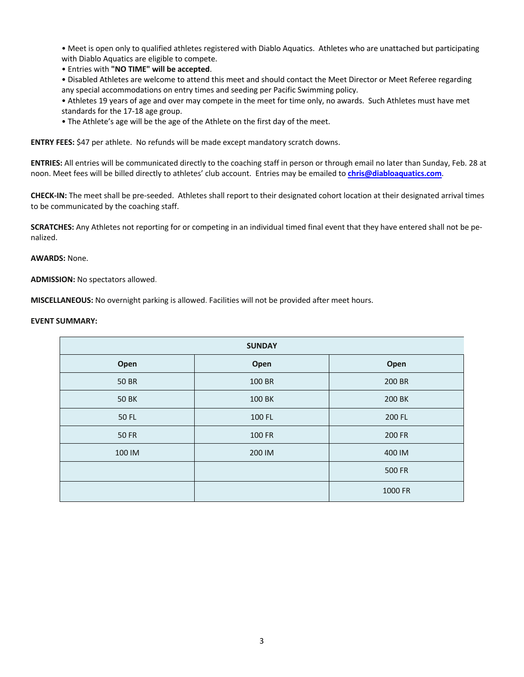• Meet is open only to qualified athletes registered with Diablo Aquatics. Athletes who are unattached but participating with Diablo Aquatics are eligible to compete.

• Entries with **"NO TIME" will be accepted**.

• Disabled Athletes are welcome to attend this meet and should contact the Meet Director or Meet Referee regarding any special accommodations on entry times and seeding per Pacific Swimming policy.

• Athletes 19 years of age and over may compete in the meet for time only, no awards. Such Athletes must have met standards for the 17-18 age group.

• The Athlete's age will be the age of the Athlete on the first day of the meet.

**ENTRY FEES:** \$47 per athlete. No refunds will be made except mandatory scratch downs.

**ENTRIES:** All entries will be communicated directly to the coaching staff in person or through email no later than Sunday, Feb. 28 at noon. Meet fees will be billed directly to athletes' club account. Entries may be emailed to **chris@diabloaquatics.com**.

**CHECK-IN:** The meet shall be pre-seeded. Athletes shall report to their designated cohort location at their designated arrival times to be communicated by the coaching staff.

**SCRATCHES:** Any Athletes not reporting for or competing in an individual timed final event that they have entered shall not be penalized.

**AWARDS:** None.

**ADMISSION:** No spectators allowed.

**MISCELLANEOUS:** No overnight parking is allowed. Facilities will not be provided after meet hours.

## **EVENT SUMMARY:**

| <b>SUNDAY</b> |        |               |  |
|---------------|--------|---------------|--|
| Open          | Open   | Open          |  |
| <b>50 BR</b>  | 100 BR | 200 BR        |  |
| <b>50 BK</b>  | 100 BK | 200 BK        |  |
| 50 FL         | 100 FL | 200 FL        |  |
| <b>50 FR</b>  | 100 FR | 200 FR        |  |
| 100 IM        | 200 IM | 400 IM        |  |
|               |        | <b>500 FR</b> |  |
|               |        | 1000 FR       |  |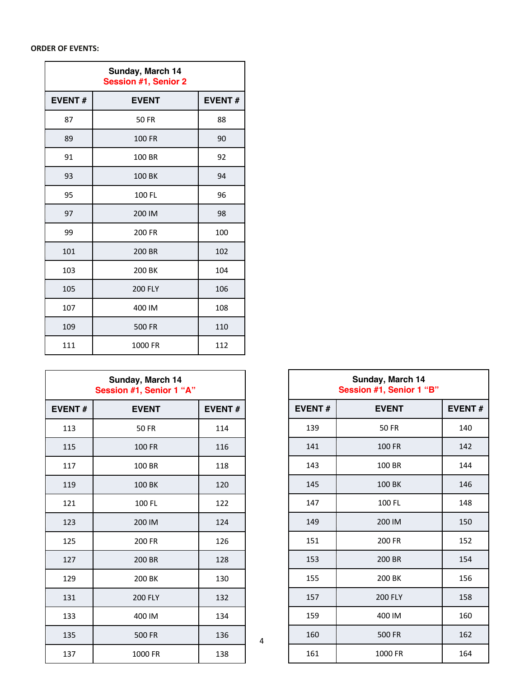## **ORDER OF EVENTS:**

| Sunday, March 14<br><b>Session #1, Senior 2</b> |                |               |
|-------------------------------------------------|----------------|---------------|
| <b>EVENT#</b>                                   | <b>EVENT</b>   | <b>EVENT#</b> |
| 87                                              | <b>50 FR</b>   | 88            |
| 89                                              | 100 FR         | 90            |
| 91                                              | 100 BR         | 92            |
| 93                                              | 100 BK         | 94            |
| 95                                              | 100 FL         | 96            |
| 97                                              | 200 IM         | 98            |
| 99                                              | 200 FR         | 100           |
| 101                                             | 200 BR         | 102           |
| 103                                             | 200 BK         | 104           |
| 105                                             | <b>200 FLY</b> | 106           |
| 107                                             | 400 IM         | 108           |
| 109                                             | 500 FR         | 110           |
| 111                                             | 1000 FR        | 112           |

| Sunday, March 14<br>Session #1, Senior 1 "A" |                |               |
|----------------------------------------------|----------------|---------------|
| <b>EVENT#</b>                                | <b>EVENT</b>   | <b>EVENT#</b> |
| 113                                          | <b>50 FR</b>   | 114           |
| 115                                          | 100 FR         | 116           |
| 117                                          | 100 BR         | 118           |
| 119                                          | 100 BK         | 120           |
| 121                                          | 100 FL         | 122           |
| 123                                          | 200 IM         | 124           |
| 125                                          | 200 FR         | 126           |
| 127                                          | 200 BR         | 128           |
| 129                                          | 200 BK         | 130           |
| 131                                          | <b>200 FLY</b> | 132           |
| 133                                          | 400 IM         | 134           |
| 135                                          | 500 FR         | 136           |
| 137                                          | 1000 FR        | 138           |

| Sunday, March 14<br>Session #1, Senior 1 "B" |                |               |
|----------------------------------------------|----------------|---------------|
| <b>EVENT#</b>                                | <b>EVENT</b>   | <b>EVENT#</b> |
| 139                                          | <b>50 FR</b>   | 140           |
| 141                                          | 100 FR         | 142           |
| 143                                          | 100 BR         | 144           |
| 145                                          | 100 BK         | 146           |
| 147                                          | 100 FL         | 148           |
| 149                                          | 200 IM         | 150           |
| 151                                          | 200 FR         | 152           |
| 153                                          | 200 BR         | 154           |
| 155                                          | 200 BK         | 156           |
| 157                                          | <b>200 FLY</b> | 158           |
| 159                                          | 400 IM         | 160           |
| 160                                          | <b>500 FR</b>  | 162           |
| 161                                          | 1000 FR        | 164           |

 $\Gamma$